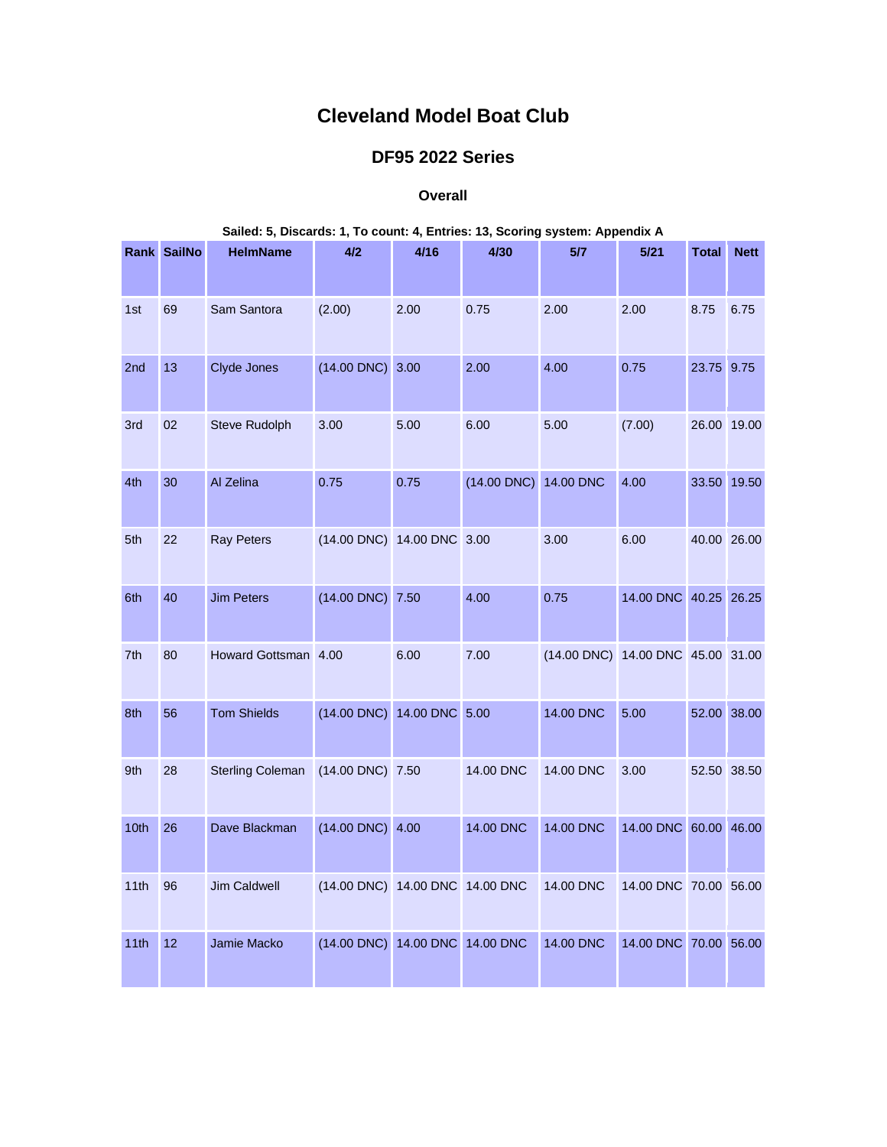## **Cleveland Model Boat Club**

## **DF95 2022 Series**

## **Overall**

|      | Salied: 5, Discards: 1, To count: 4, Entries: 13, Scoring system: Appendix A |                         |                                 |      |                       |                                   |                       |              |             |  |
|------|------------------------------------------------------------------------------|-------------------------|---------------------------------|------|-----------------------|-----------------------------------|-----------------------|--------------|-------------|--|
|      | Rank SailNo                                                                  | <b>HelmName</b>         | 4/2                             | 4/16 | 4/30                  | 5/7                               | 5/21                  | <b>Total</b> | <b>Nett</b> |  |
| 1st  | 69                                                                           | Sam Santora             | (2.00)                          | 2.00 | 0.75                  | 2.00                              | 2.00                  | 8.75         | 6.75        |  |
| 2nd  | 13                                                                           | Clyde Jones             | $(14.00$ DNC $)$ 3.00           |      | 2.00                  | 4.00                              | 0.75                  | 23.75 9.75   |             |  |
| 3rd  | 02                                                                           | Steve Rudolph           | 3.00                            | 5.00 | 6.00                  | 5.00                              | (7.00)                |              | 26.00 19.00 |  |
| 4th  | 30                                                                           | Al Zelina               | 0.75                            | 0.75 | (14.00 DNC) 14.00 DNC |                                   | 4.00                  |              | 33.50 19.50 |  |
| 5th  | 22                                                                           | <b>Ray Peters</b>       | (14.00 DNC) 14.00 DNC 3.00      |      |                       | 3.00                              | 6.00                  |              | 40.00 26.00 |  |
| 6th  | 40                                                                           | <b>Jim Peters</b>       | (14.00 DNC) 7.50                |      | 4.00                  | 0.75                              | 14.00 DNC 40.25 26.25 |              |             |  |
| 7th  | 80                                                                           | Howard Gottsman 4.00    |                                 | 6.00 | 7.00                  | (14.00 DNC) 14.00 DNC 45.00 31.00 |                       |              |             |  |
| 8th  | 56                                                                           | <b>Tom Shields</b>      | (14.00 DNC) 14.00 DNC 5.00      |      |                       | 14.00 DNC                         | 5.00                  |              | 52.00 38.00 |  |
| 9th  | 28                                                                           | <b>Sterling Coleman</b> | (14.00 DNC) 7.50                |      | 14.00 DNC             | 14.00 DNC                         | 3.00                  |              | 52.50 38.50 |  |
| 10th | 26                                                                           | Dave Blackman           | $(14.00$ DNC $)$ 4.00           |      | 14.00 DNC             | 14.00 DNC                         | 14.00 DNC 60.00 46.00 |              |             |  |
| 11th | 96                                                                           | <b>Jim Caldwell</b>     | (14.00 DNC) 14.00 DNC 14.00 DNC |      |                       | 14.00 DNC                         | 14.00 DNC 70.00 56.00 |              |             |  |
| 11th | 12                                                                           | Jamie Macko             | (14.00 DNC) 14.00 DNC 14.00 DNC |      |                       | 14.00 DNC                         | 14.00 DNC 70.00 56.00 |              |             |  |

## **Sailed: 5, Discards: 1, To count: 4, Entries: 13, Scoring system: Appendix A**